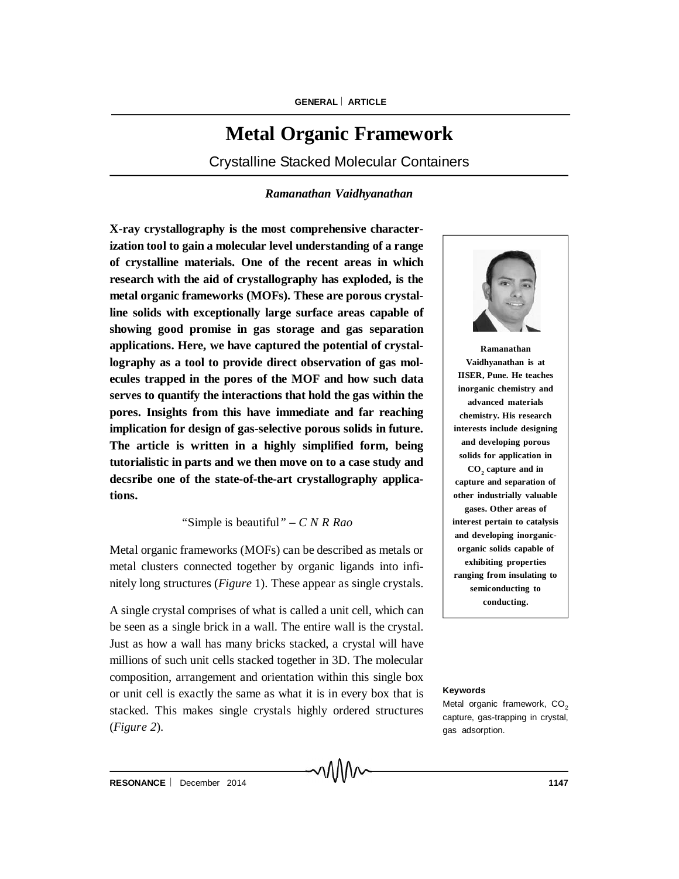# **Metal Organic Framework**

Crystalline Stacked Molecular Containers

## *Ramanathan Vaidhyanathan*

**X-ray crystallography is the most comprehensive characterization tool to gain a molecular level understanding of a range of crystalline materials. One of the recent areas in which research with the aid of crystallography has exploded, is the metal organic frameworks (MOFs). These are porous crystalline solids with exceptionally large surface areas capable of showing good promise in gas storage and gas separation applications. Here, we have captured the potential of crystallography as a tool to provide direct observation of gas molecules trapped in the pores of the MOF and how such data serves to quantify the interactions that hold the gas within the pores. Insights from this have immediate and far reaching implication for design of gas-selective porous solids in future. The article is written in a highly simplified form, being tutorialistic in parts and we then move on to a case study and decsribe one of the state-of-the-art crystallography applications.**

*"*Simple is beautiful*" – C N R Rao*

Metal organic frameworks (MOFs) can be described as metals or metal clusters connected together by organic ligands into infinitely long structures (*Figure* 1). These appear as single crystals.

A single crystal comprises of what is called a unit cell, which can be seen as a single brick in a wall. The entire wall is the crystal. Just as how a wall has many bricks stacked, a crystal will have millions of such unit cells stacked together in 3D. The molecular composition, arrangement and orientation within this single box or unit cell is exactly the same as what it is in every box that is stacked. This makes single crystals highly ordered structures (*Figure 2*).

∽V∖I\IV



**Ramanathan Vaidhyanathan is at IISER, Pune. He teaches inorganic chemistry and advanced materials chemistry. His research interests include designing and developing porous solids for application in CO<sup>2</sup> capture and in capture and separation of other industrially valuable gases. Other areas of interest pertain to catalysis and developing inorganicorganic solids capable of exhibiting properties ranging from insulating to semiconducting to conducting.**

#### **Keywords**

Metal organic framework, CO<sub>2</sub> capture, gas-trapping in crystal, gas adsorption.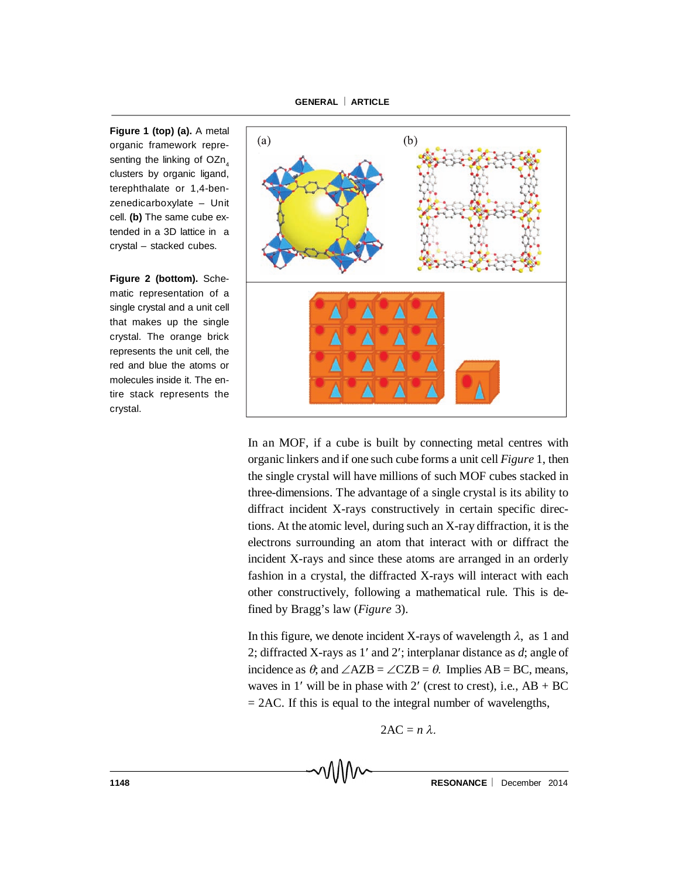**Figure 1 (top) (a).** A metal organic framework representing the linking of  $OZn_A$ clusters by organic ligand, terephthalate or 1,4-benzenedicarboxylate – Unit cell. **(b)** The same cube extended in a 3D lattice in a crystal – stacked cubes.

**Figure 2 (bottom).** Schematic representation of a single crystal and a unit cell that makes up the single crystal. The orange brick represents the unit cell, the red and blue the atoms or molecules inside it. The entire stack represents the crystal.



In an MOF, if a cube is built by connecting metal centres with organic linkers and if one such cube forms a unit cell *Figure* 1, then the single crystal will have millions of such MOF cubes stacked in three-dimensions. The advantage of a single crystal is its ability to diffract incident X-rays constructively in certain specific directions. At the atomic level, during such an X-ray diffraction, it is the electrons surrounding an atom that interact with or diffract the incident X-rays and since these atoms are arranged in an orderly fashion in a crystal, the diffracted X-rays will interact with each other constructively, following a mathematical rule. This is defined by Bragg's law (*Figure* 3).

In this figure, we denote incident X-rays of wavelength  $\lambda$ , as 1 and 2; diffracted X-rays as  $1'$  and  $2'$ ; interplanar distance as  $d$ ; angle of incidence as  $\theta$ ; and  $\angle AZB = \angle CZB = \theta$ . Implies AB = BC, means, waves in 1' will be in phase with 2' (crest to crest), i.e.,  $AB + BC$  $= 2AC$ . If this is equal to the integral number of wavelengths,

$$
2AC = n \lambda.
$$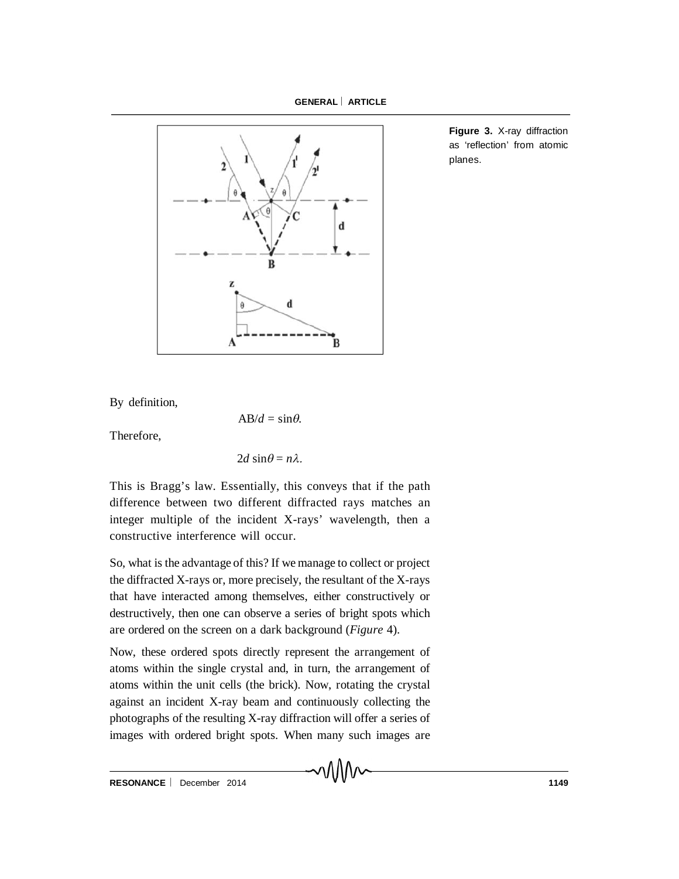

**Figure 3.** X-ray diffraction as 'reflection' from atomic planes.

By definition,

 $AB/d = \sin \theta$ .

Therefore,

$$
2d\sin\theta = n\lambda.
$$

This is Bragg's law. Essentially, this conveys that if the path difference between two different diffracted rays matches an integer multiple of the incident X-rays' wavelength, then a constructive interference will occur.

So, what is the advantage of this? If we manage to collect or project the diffracted X-rays or, more precisely, the resultant of the X-rays that have interacted among themselves, either constructively or destructively, then one can observe a series of bright spots which are ordered on the screen on a dark background (*Figure* 4).

Now, these ordered spots directly represent the arrangement of atoms within the single crystal and, in turn, the arrangement of atoms within the unit cells (the brick). Now, rotating the crystal against an incident X-ray beam and continuously collecting the photographs of the resulting X-ray diffraction will offer a series of images with ordered bright spots. When many such images are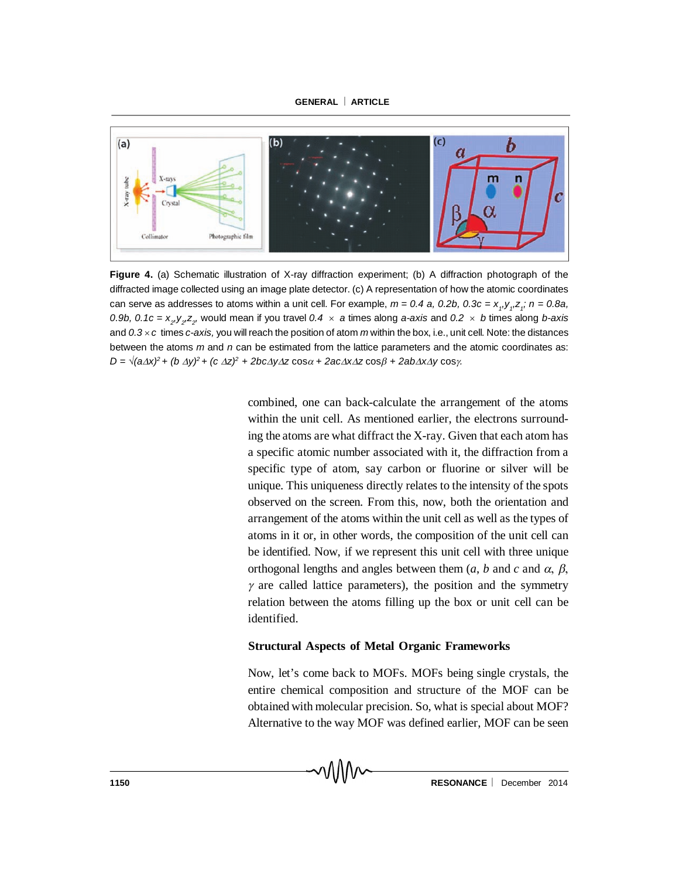

**Figure 4.** (a) Schematic illustration of X-ray diffraction experiment; (b) A diffraction photograph of the diffracted image collected using an image plate detector. (c) A representation of how the atomic coordinates can serve as addresses to atoms within a unit cell. For example,  $m = 0.4$  a, 0.2b, 0.3c = x<sub>1</sub>,y<sub>1</sub>,z<sub>1</sub>; n = 0.8a, 0.9b, 0.1c =  $x_2, y_2, z_2$ , would mean if you travel 0.4  $\times$  a times along *a-axis* and 0.2  $\times$  *b* times along *b-axis* and *0.3 c* times *c-axis,* you will reach the position of atom *m* within the box, i.e., unit cell*.* Note: the distances between the atoms *m* and *n* can be estimated from the lattice parameters and the atomic coordinates as:  $D = \sqrt{(a\Delta x)^2 + (b\Delta y)^2 + (c\Delta z)^2 + 2bc\Delta y\Delta z\cos\alpha + 2ac\Delta x\Delta z\cos\beta + 2ab\Delta x\Delta y\cos\gamma$ .

combined, one can back-calculate the arrangement of the atoms within the unit cell. As mentioned earlier, the electrons surrounding the atoms are what diffract the X-ray. Given that each atom has a specific atomic number associated with it, the diffraction from a specific type of atom, say carbon or fluorine or silver will be unique. This uniqueness directly relates to the intensity of the spots observed on the screen. From this, now, both the orientation and arrangement of the atoms within the unit cell as well as the types of atoms in it or, in other words, the composition of the unit cell can be identified. Now, if we represent this unit cell with three unique orthogonal lengths and angles between them  $(a, b \text{ and } c \text{ and } \alpha, \beta)$ ,  $\gamma$  are called lattice parameters), the position and the symmetry relation between the atoms filling up the box or unit cell can be identified.

## **Structural Aspects of Metal Organic Frameworks**

Now, let's come back to MOFs. MOFs being single crystals, the entire chemical composition and structure of the MOF can be obtained with molecular precision. So, what is special about MOF? Alternative to the way MOF was defined earlier, MOF can be seen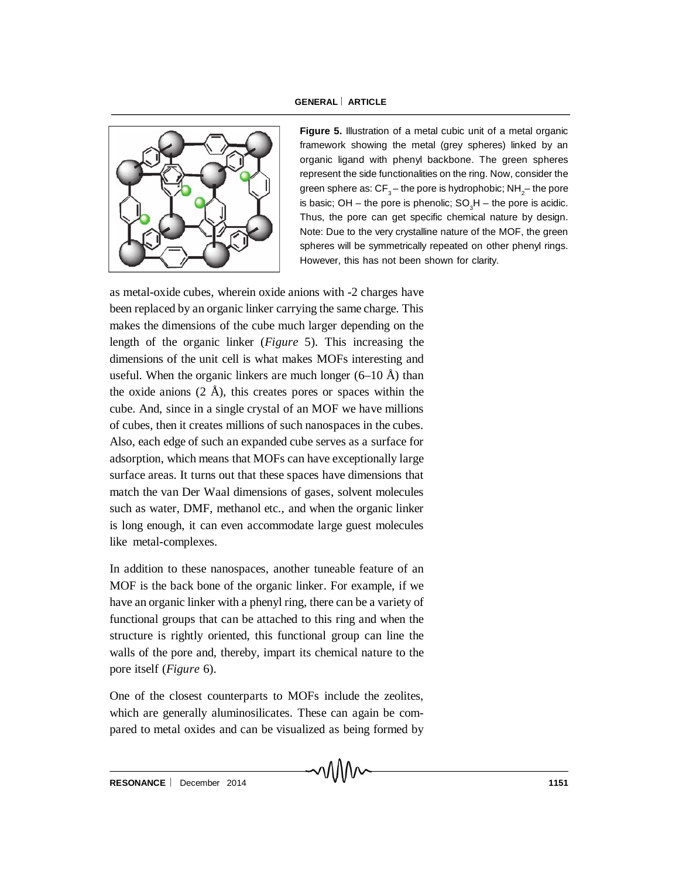

**Figure 5.** Illustration of a metal cubic unit of a metal organic framework showing the metal (grey spheres) linked by an organic ligand with phenyl backbone. The green spheres represent the side functionalities on the ring. Now, consider the green sphere as: CF $_{\rm 3}$ – the pore is hydrophobic; NH $_{\rm 2}$ – the pore is basic; OH – the pore is phenolic;  $SO_3H$  – the pore is acidic. Thus, the pore can get specific chemical nature by design. Note: Due to the very crystalline nature of the MOF, the green spheres will be symmetrically repeated on other phenyl rings. However, this has not been shown for clarity.

as metal-oxide cubes, wherein oxide anions with -2 charges have been replaced by an organic linker carrying the same charge. This makes the dimensions of the cube much larger depending on the length of the organic linker (*Figure* 5). This increasing the dimensions of the unit cell is what makes MOFs interesting and useful. When the organic linkers are much longer  $(6-10 \text{ Å})$  than the oxide anions  $(2 \text{ Å})$ , this creates pores or spaces within the cube. And, since in a single crystal of an MOF we have millions of cubes, then it creates millions of such nanospaces in the cubes. Also, each edge of such an expanded cube serves as a surface for adsorption, which means that MOFs can have exceptionally large surface areas. It turns out that these spaces have dimensions that match the van Der Waal dimensions of gases, solvent molecules such as water, DMF, methanol etc., and when the organic linker is long enough, it can even accommodate large guest molecules like metal-complexes.

In addition to these nanospaces, another tuneable feature of an MOF is the back bone of the organic linker. For example, if we have an organic linker with a phenyl ring, there can be a variety of functional groups that can be attached to this ring and when the structure is rightly oriented, this functional group can line the walls of the pore and, thereby, impart its chemical nature to the pore itself (*Figure* 6).

One of the closest counterparts to MOFs include the zeolites, which are generally aluminosilicates. These can again be compared to metal oxides and can be visualized as being formed by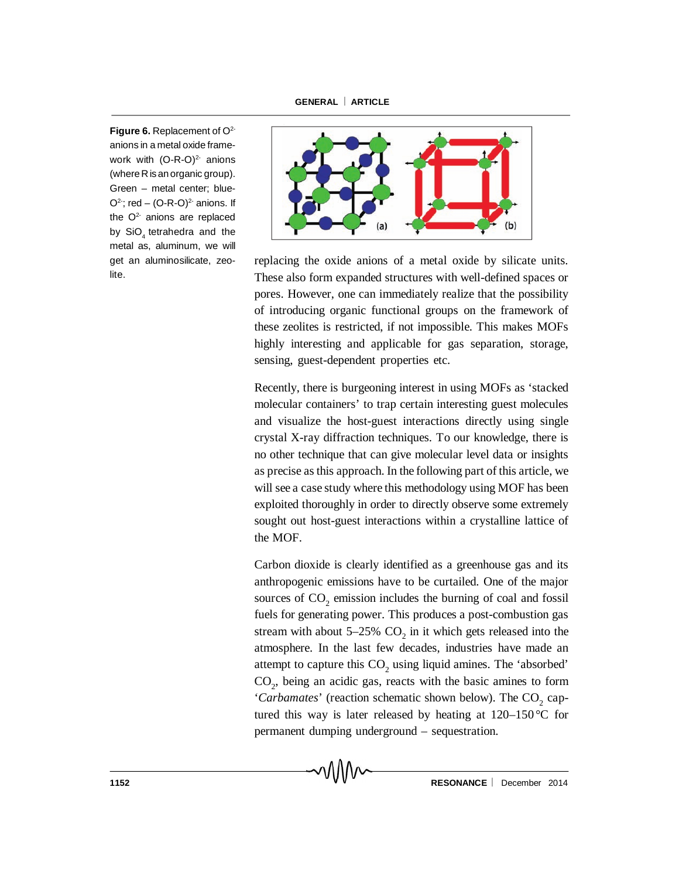Figure 6. Replacement of O<sup>2-</sup> anions in a metal oxide framework with  $(O-R-O)^{2}$  anions (where R is an organic group). Green – metal center; blue- $Q^2$ ; red –  $(Q-R-O)^2$  anions. If the  $O<sup>2</sup>$  anions are replaced by SiO<sub>4</sub> tetrahedra and the metal as, aluminum, we will get an aluminosilicate, zeolite.



replacing the oxide anions of a metal oxide by silicate units. These also form expanded structures with well-defined spaces or pores. However, one can immediately realize that the possibility of introducing organic functional groups on the framework of these zeolites is restricted, if not impossible. This makes MOFs highly interesting and applicable for gas separation, storage, sensing, guest-dependent properties etc.

Recently, there is burgeoning interest in using MOFs as 'stacked molecular containers' to trap certain interesting guest molecules and visualize the host-guest interactions directly using single crystal X-ray diffraction techniques. To our knowledge, there is no other technique that can give molecular level data or insights as precise as this approach. In the following part of this article, we will see a case study where this methodology using MOF has been exploited thoroughly in order to directly observe some extremely sought out host-guest interactions within a crystalline lattice of the MOF.

Carbon dioxide is clearly identified as a greenhouse gas and its anthropogenic emissions have to be curtailed. One of the major sources of  $CO_2$  emission includes the burning of coal and fossil fuels for generating power. This produces a post-combustion gas stream with about  $5-25\%$  CO<sub>2</sub> in it which gets released into the atmosphere. In the last few decades, industries have made an attempt to capture this  $CO_2$  using liquid amines. The 'absorbed' CO<sup>2</sup> , being an acidic gas, reacts with the basic amines to form '*Carbamates*' (reaction schematic shown below). The CO<sub>2</sub> captured this way is later released by heating at 120–150 °C for permanent dumping underground – sequestration.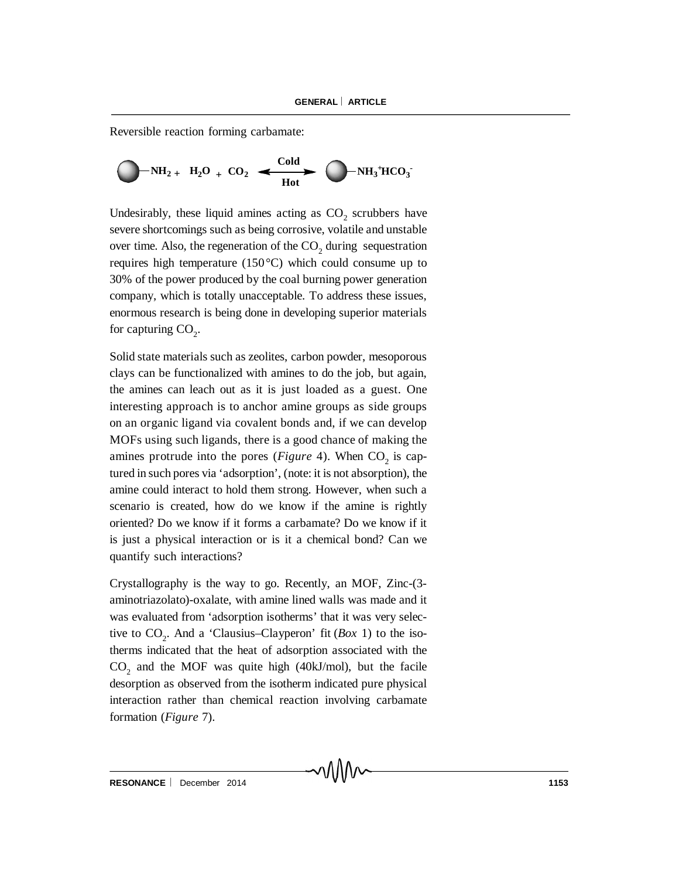Reversible reaction forming carbamate:



Undesirably, these liquid amines acting as  $CO_2$  scrubbers have severe shortcomings such as being corrosive, volatile and unstable over time. Also, the regeneration of the  $CO_2$  during sequestration requires high temperature (150°C) which could consume up to 30% of the power produced by the coal burning power generation company, which is totally unacceptable. To address these issues, enormous research is being done in developing superior materials for capturing  $CO<sub>2</sub>$ .

Solid state materials such as zeolites, carbon powder, mesoporous clays can be functionalized with amines to do the job, but again, the amines can leach out as it is just loaded as a guest. One interesting approach is to anchor amine groups as side groups on an organic ligand via covalent bonds and, if we can develop MOFs using such ligands, there is a good chance of making the amines protrude into the pores (*Figure* 4). When  $CO_2$  is captured in such pores via 'adsorption', (note: it is not absorption), the amine could interact to hold them strong. However, when such a scenario is created, how do we know if the amine is rightly oriented? Do we know if it forms a carbamate? Do we know if it is just a physical interaction or is it a chemical bond? Can we quantify such interactions?

Crystallography is the way to go. Recently, an MOF, Zinc-(3 aminotriazolato)-oxalate, with amine lined walls was made and it was evaluated from 'adsorption isotherms' that it was very selective to  $CO_2$ . And a 'Clausius–Clayperon' fit (*Box* 1) to the isotherms indicated that the heat of adsorption associated with the  $CO<sub>2</sub>$  and the MOF was quite high (40kJ/mol), but the facile desorption as observed from the isotherm indicated pure physical interaction rather than chemical reaction involving carbamate formation (*Figure* 7).

∽∧∧∧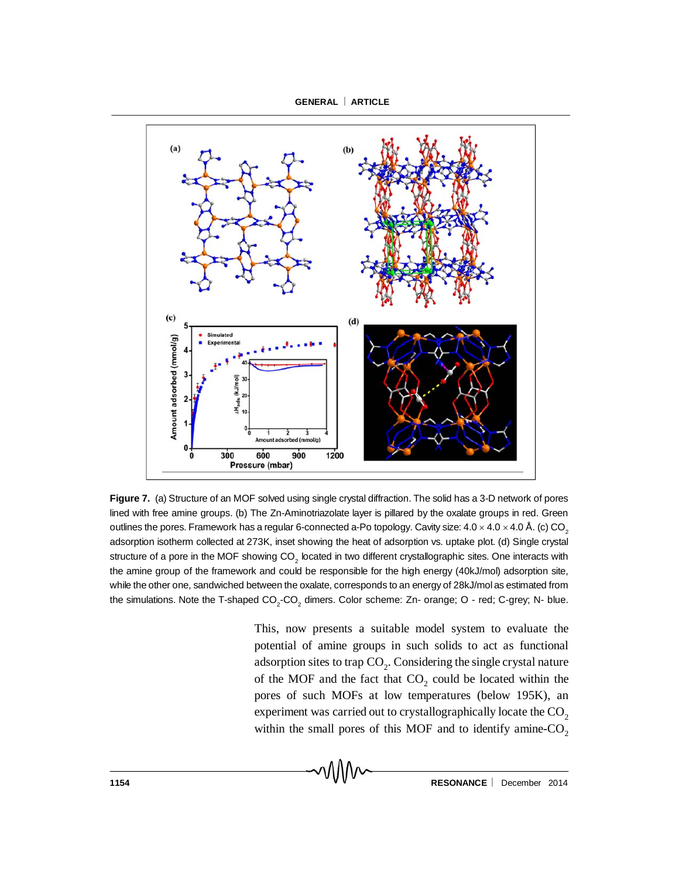

**Figure 7.** (a) Structure of an MOF solved using single crystal diffraction. The solid has a 3-D network of pores lined with free amine groups. (b) The Zn-Aminotriazolate layer is pillared by the oxalate groups in red. Green outlines the pores. Framework has a regular 6-connected a-Po topology. Cavity size:  $4.0 \times 4.0 \times 4.0$  Å. (c) CO<sub>2</sub> adsorption isotherm collected at 273K, inset showing the heat of adsorption vs. uptake plot. (d) Single crystal structure of a pore in the MOF showing CO<sub>2</sub> located in two different crystallographic sites. One interacts with the amine group of the framework and could be responsible for the high energy (40kJ/mol) adsorption site, while the other one, sandwiched between the oxalate, corresponds to an energy of 28kJ/mol as estimated from the simulations. Note the T-shaped CO<sub>2</sub>-CO<sub>2</sub> dimers. Color scheme: Zn- orange; O - red; C-grey; N- blue.

This, now presents a suitable model system to evaluate the potential of amine groups in such solids to act as functional adsorption sites to trap  $\mathrm{CO}_2$ . Considering the single crystal nature of the MOF and the fact that  $CO_2$  could be located within the pores of such MOFs at low temperatures (below 195K), an experiment was carried out to crystallographically locate the CO<sub>2</sub> within the small pores of this MOF and to identify amine- $CO<sub>2</sub>$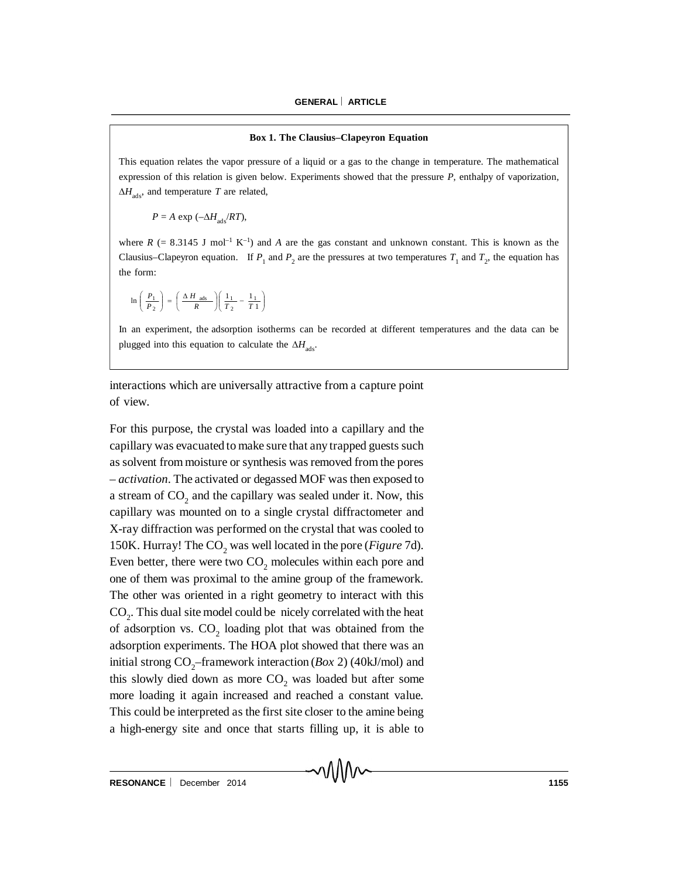#### **Box 1. The Clausius–Clapeyron Equation**

This equation relates the vapor pressure of a liquid or a gas to the change in temperature. The mathematical expression of this relation is given below. Experiments showed that the pressure *P*, enthalpy of vaporization,  $\Delta H_{\text{ads}}$ , and temperature *T* are related,

$$
P = A \exp(-\Delta H_{\text{ads}}/RT),
$$

where  $R$  (= 8.3145 J mol<sup>-1</sup> K<sup>-1</sup>) and *A* are the gas constant and unknown constant. This is known as the Clausius–Clapeyron equation. If  $P_1$  and  $P_2$  are the pressures at two temperatures  $T_1$  and  $T_2$ , the equation has the form:

$$
\ln\left(\frac{P_1}{P_2}\right) = \left(\frac{\Delta H \text{ ads}}{R}\right) \left(\frac{1_1}{T_2} - \frac{1_1}{T_1}\right)
$$

In an experiment, the adsorption isotherms can be recorded at different temperatures and the data can be plugged into this equation to calculate the  $\Delta H_{ads}$ .

interactions which are universally attractive from a capture point of view.

For this purpose, the crystal was loaded into a capillary and the capillary was evacuated to make sure that any trapped guests such as solvent from moisture or synthesis was removed from the pores – *activation*. The activated or degassed MOF was then exposed to a stream of  $CO_2$  and the capillary was sealed under it. Now, this capillary was mounted on to a single crystal diffractometer and X-ray diffraction was performed on the crystal that was cooled to 150K. Hurray! The CO<sub>2</sub> was well located in the pore (*Figure* 7d). Even better, there were two  $CO<sub>2</sub>$  molecules within each pore and one of them was proximal to the amine group of the framework. The other was oriented in a right geometry to interact with this  $CO<sub>2</sub>$ . This dual site model could be nicely correlated with the heat of adsorption vs.  $CO_2$  loading plot that was obtained from the adsorption experiments. The HOA plot showed that there was an initial strong  $CO_2$ -framework interaction (*Box* 2) (40kJ/mol) and this slowly died down as more  $CO<sub>2</sub>$  was loaded but after some more loading it again increased and reached a constant value. This could be interpreted as the first site closer to the amine being a high-energy site and once that starts filling up, it is able to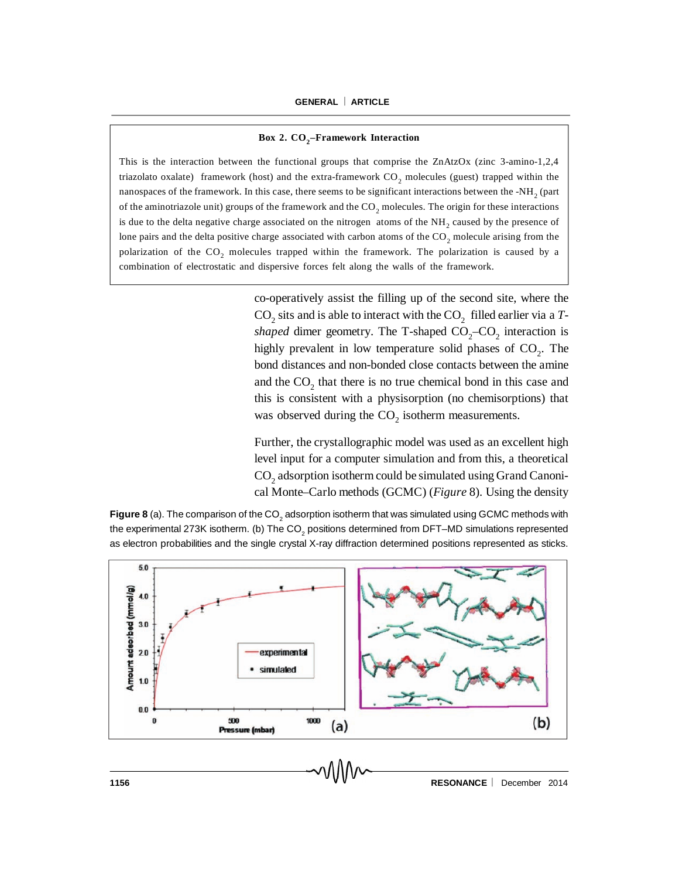## **Box 2. CO<sup>2</sup> –Framework Interaction**

This is the interaction between the functional groups that comprise the ZnAtzOx (zinc 3-amino-1,2,4 triazolato oxalate) framework (host) and the extra-framework  $CO<sub>2</sub>$  molecules (guest) trapped within the nanospaces of the framework. In this case, there seems to be significant interactions between the -NH<sub>2</sub> (part of the aminotriazole unit) groups of the framework and the  $CO<sub>2</sub>$  molecules. The origin for these interactions is due to the delta negative charge associated on the nitrogen atoms of the  $NH_2$  caused by the presence of lone pairs and the delta positive charge associated with carbon atoms of the  $CO<sub>2</sub>$  molecule arising from the polarization of the  $CO<sub>2</sub>$  molecules trapped within the framework. The polarization is caused by a combination of electrostatic and dispersive forces felt along the walls of the framework.

> co-operatively assist the filling up of the second site, where the  $\text{CO}_2$  sits and is able to interact with the  $\text{CO}_2$  filled earlier via a *Tshaped* dimer geometry. The T-shaped  $CO_2$ - $CO_2$  interaction is highly prevalent in low temperature solid phases of  $CO<sub>2</sub>$ . The bond distances and non-bonded close contacts between the amine and the  $CO_2$  that there is no true chemical bond in this case and this is consistent with a physisorption (no chemisorptions) that was observed during the  $CO<sub>2</sub>$  isotherm measurements.

Further, the crystallographic model was used as an excellent high level input for a computer simulation and from this, a theoretical  $\mathrm{CO}_2$  adsorption isotherm could be simulated using Grand Canonical Monte–Carlo methods (GCMC) (*Figure* 8). Using the density

**Figure 8** (a). The comparison of the CO<sub>2</sub> adsorption isotherm that was simulated using GCMC methods with the experimental 273K isotherm. (b) The CO<sub>2</sub> positions determined from DFT–MD simulations represented as electron probabilities and the single crystal X-ray diffraction determined positions represented as sticks.